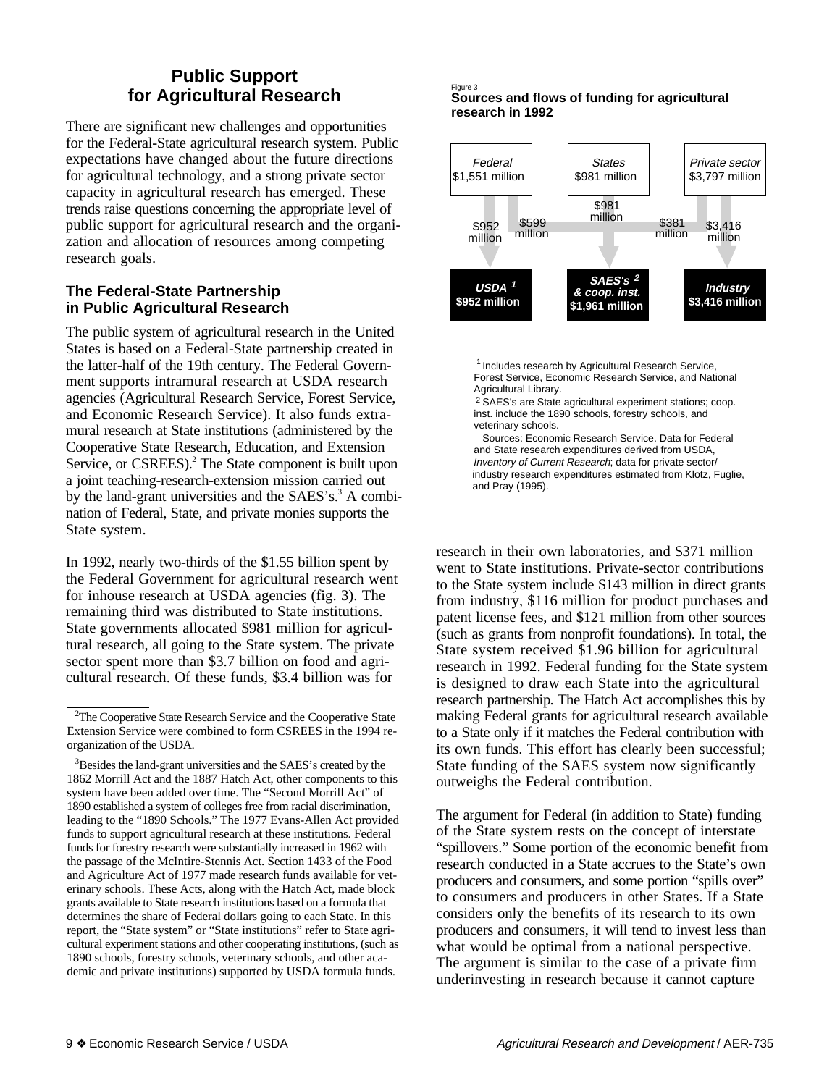# **Public Support for Agricultural Research**

There are significant new challenges and opportunities for the Federal-State agricultural research system. Public expectations have changed about the future directions for agricultural technology, and a strong private sector capacity in agricultural research has emerged. These trends raise questions concerning the appropriate level of public support for agricultural research and the organization and allocation of resources among competing research goals.

## **The Federal-State Partnership in Public Agricultural Research**

The public system of agricultural research in the United States is based on a Federal-State partnership created in the latter-half of the 19th century. The Federal Government supports intramural research at USDA research agencies (Agricultural Research Service, Forest Service, and Economic Research Service). It also funds extramural research at State institutions (administered by the Cooperative State Research, Education, and Extension Service, or CSREES).<sup>2</sup> The State component is built upon a joint teaching-research-extension mission carried out by the land-grant universities and the  $SAES's<sup>3</sup> A combi$ nation of Federal, State, and private monies supports the State system.

In 1992, nearly two-thirds of the \$1.55 billion spent by the Federal Government for agricultural research went for inhouse research at USDA agencies (fig. 3). The remaining third was distributed to State institutions. State governments allocated \$981 million for agricultural research, all going to the State system. The private sector spent more than \$3.7 billion on food and agricultural research. Of these funds, \$3.4 billion was for

#### Figure 3 **Sources and flows of funding for agricultural research in 1992**



<sup>1</sup> Includes research by Agricultural Research Service, Forest Service, Economic Research Service, and National Agricultural Library.

2 SAES's are State agricultural experiment stations; coop. inst. include the 1890 schools, forestry schools, and veterinary schools.

 Sources: Economic Research Service. Data for Federal and State research expenditures derived from USDA, Inventory of Current Research; data for private sector/ industry research expenditures estimated from Klotz, Fuglie, and Pray (1995).

research in their own laboratories, and \$371 million went to State institutions. Private-sector contributions to the State system include \$143 million in direct grants from industry, \$116 million for product purchases and patent license fees, and \$121 million from other sources (such as grants from nonprofit foundations). In total, the State system received \$1.96 billion for agricultural research in 1992. Federal funding for the State system is designed to draw each State into the agricultural research partnership. The Hatch Act accomplishes this by making Federal grants for agricultural research available to a State only if it matches the Federal contribution with its own funds. This effort has clearly been successful; State funding of the SAES system now significantly outweighs the Federal contribution.

The argument for Federal (in addition to State) funding of the State system rests on the concept of interstate "spillovers." Some portion of the economic benefit from research conducted in a State accrues to the State's own producers and consumers, and some portion "spills over" to consumers and producers in other States. If a State considers only the benefits of its research to its own producers and consumers, it will tend to invest less than what would be optimal from a national perspective. The argument is similar to the case of a private firm underinvesting in research because it cannot capture

<sup>&</sup>lt;sup>2</sup>The Cooperative State Research Service and the Cooperative State Extension Service were combined to form CSREES in the 1994 reorganization of the USDA.

<sup>&</sup>lt;sup>3</sup>Besides the land-grant universities and the SAES's created by the 1862 Morrill Act and the 1887 Hatch Act, other components to this system have been added over time. The "Second Morrill Act" of 1890 established a system of colleges free from racial discrimination, leading to the "1890 Schools." The 1977 Evans-Allen Act provided funds to support agricultural research at these institutions. Federal funds for forestry research were substantially increased in 1962 with the passage of the McIntire-Stennis Act. Section 1433 of the Food and Agriculture Act of 1977 made research funds available for veterinary schools. These Acts, along with the Hatch Act, made block grants available to State research institutions based on a formula that determines the share of Federal dollars going to each State. In this report, the "State system" or "State institutions" refer to State agricultural experiment stations and other cooperating institutions, (such as 1890 schools, forestry schools, veterinary schools, and other academic and private institutions) supported by USDA formula funds.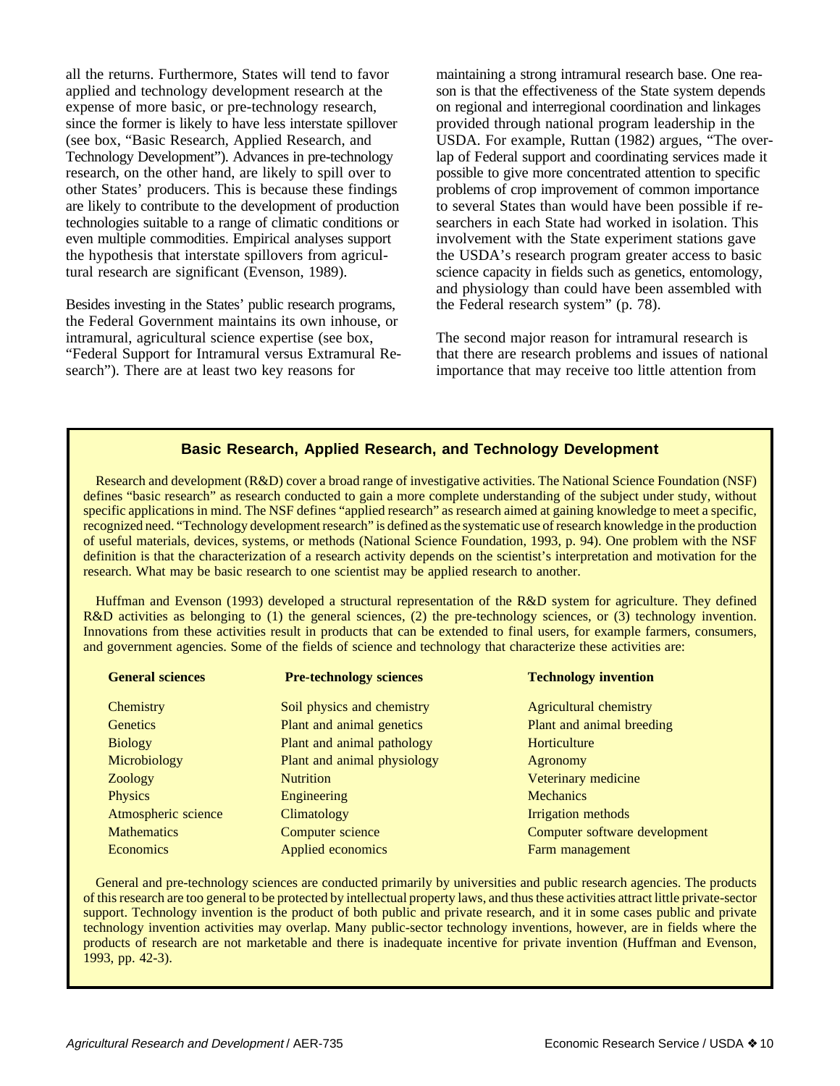all the returns. Furthermore, States will tend to favor applied and technology development research at the expense of more basic, or pre-technology research, since the former is likely to have less interstate spillover (see box, "Basic Research, Applied Research, and Technology Development"). Advances in pre-technology research, on the other hand, are likely to spill over to other States' producers. This is because these findings are likely to contribute to the development of production technologies suitable to a range of climatic conditions or even multiple commodities. Empirical analyses support the hypothesis that interstate spillovers from agricultural research are significant (Evenson, 1989).

Besides investing in the States' public research programs, the Federal Government maintains its own inhouse, or intramural, agricultural science expertise (see box, "Federal Support for Intramural versus Extramural Research"). There are at least two key reasons for

maintaining a strong intramural research base. One reason is that the effectiveness of the State system depends on regional and interregional coordination and linkages provided through national program leadership in the USDA. For example, Ruttan (1982) argues, "The overlap of Federal support and coordinating services made it possible to give more concentrated attention to specific problems of crop improvement of common importance to several States than would have been possible if researchers in each State had worked in isolation. This involvement with the State experiment stations gave the USDA's research program greater access to basic science capacity in fields such as genetics, entomology, and physiology than could have been assembled with the Federal research system" (p. 78).

The second major reason for intramural research is that there are research problems and issues of national importance that may receive too little attention from

## **Basic Research, Applied Research, and Technology Development**

Research and development (R&D) cover a broad range of investigative activities. The National Science Foundation (NSF) defines "basic research" as research conducted to gain a more complete understanding of the subject under study, without specific applications in mind. The NSF defines "applied research" as research aimed at gaining knowledge to meet a specific, recognized need. "Technology development research" is defined as the systematic use of research knowledge in the production of useful materials, devices, systems, or methods (National Science Foundation, 1993, p. 94). One problem with the NSF definition is that the characterization of a research activity depends on the scientist's interpretation and motivation for the research. What may be basic research to one scientist may be applied research to another.

Huffman and Evenson (1993) developed a structural representation of the R&D system for agriculture. They defined R&D activities as belonging to (1) the general sciences, (2) the pre-technology sciences, or (3) technology invention. Innovations from these activities result in products that can be extended to final users, for example farmers, consumers, and government agencies. Some of the fields of science and technology that characterize these activities are:

| <b>General sciences</b> | <b>Pre-technology sciences</b> | <b>Technology invention</b>   |  |  |  |
|-------------------------|--------------------------------|-------------------------------|--|--|--|
| Chemistry               | Soil physics and chemistry     | Agricultural chemistry        |  |  |  |
| <b>Genetics</b>         | Plant and animal genetics      | Plant and animal breeding     |  |  |  |
| <b>Biology</b>          | Plant and animal pathology     | Horticulture                  |  |  |  |
| Microbiology            | Plant and animal physiology    | Agronomy                      |  |  |  |
| Zoology                 | <b>Nutrition</b>               | Veterinary medicine           |  |  |  |
| <b>Physics</b>          | Engineering                    | <b>Mechanics</b>              |  |  |  |
| Atmospheric science     | Climatology                    | Irrigation methods            |  |  |  |
| <b>Mathematics</b>      | Computer science               | Computer software development |  |  |  |
| <b>Economics</b>        | Applied economics              | Farm management               |  |  |  |

General and pre-technology sciences are conducted primarily by universities and public research agencies. The products of this research are too general to be protected by intellectual property laws, and thus these activities attract little private-sector support. Technology invention is the product of both public and private research, and it in some cases public and private technology invention activities may overlap. Many public-sector technology inventions, however, are in fields where the products of research are not marketable and there is inadequate incentive for private invention (Huffman and Evenson, 1993, pp. 42-3).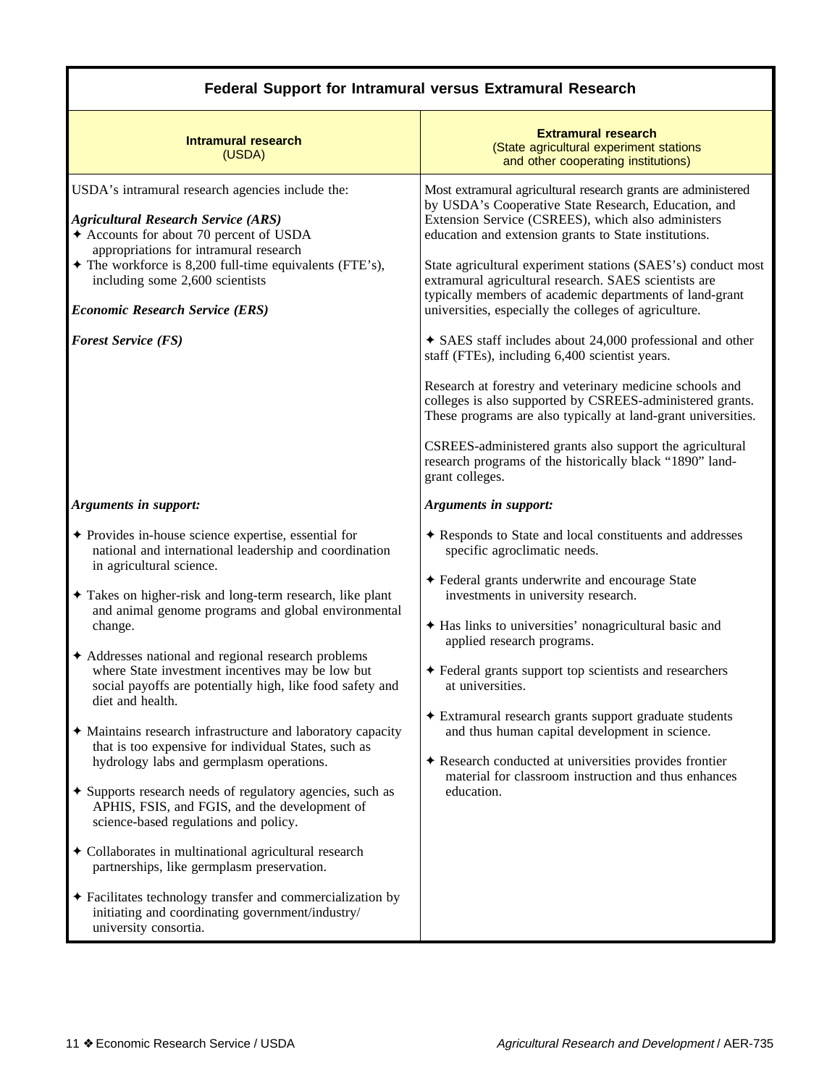| <b>Federal Support for Intramural versus Extramural Research</b>                                                                                                                                                                                                                                                                                                                                                                                                                                                                                                                                                                                                                                                                                                                                                                                                                                                                 |  |  |  |  |  |  |  |  |
|----------------------------------------------------------------------------------------------------------------------------------------------------------------------------------------------------------------------------------------------------------------------------------------------------------------------------------------------------------------------------------------------------------------------------------------------------------------------------------------------------------------------------------------------------------------------------------------------------------------------------------------------------------------------------------------------------------------------------------------------------------------------------------------------------------------------------------------------------------------------------------------------------------------------------------|--|--|--|--|--|--|--|--|
| <b>Extramural research</b><br>(State agricultural experiment stations<br>and other cooperating institutions)                                                                                                                                                                                                                                                                                                                                                                                                                                                                                                                                                                                                                                                                                                                                                                                                                     |  |  |  |  |  |  |  |  |
| Most extramural agricultural research grants are administered<br>by USDA's Cooperative State Research, Education, and<br>Extension Service (CSREES), which also administers<br>education and extension grants to State institutions.<br>State agricultural experiment stations (SAES's) conduct most<br>extramural agricultural research. SAES scientists are<br>typically members of academic departments of land-grant<br>universities, especially the colleges of agriculture.<br>$\triangleleft$ SAES staff includes about 24,000 professional and other<br>staff (FTEs), including 6,400 scientist years.<br>Research at forestry and veterinary medicine schools and<br>colleges is also supported by CSREES-administered grants.<br>These programs are also typically at land-grant universities.<br>CSREES-administered grants also support the agricultural<br>research programs of the historically black "1890" land- |  |  |  |  |  |  |  |  |
| Arguments in support:<br>Responds to State and local constituents and addresses<br>specific agroclimatic needs.<br>◆ Federal grants underwrite and encourage State<br>investments in university research.<br>Has links to universities' nonagricultural basic and<br>applied research programs.<br>♦ Federal grants support top scientists and researchers<br>at universities.<br>Extramural research grants support graduate students<br>and thus human capital development in science.<br>♦ Research conducted at universities provides frontier<br>material for classroom instruction and thus enhances                                                                                                                                                                                                                                                                                                                       |  |  |  |  |  |  |  |  |
|                                                                                                                                                                                                                                                                                                                                                                                                                                                                                                                                                                                                                                                                                                                                                                                                                                                                                                                                  |  |  |  |  |  |  |  |  |

# **Federal Support for Intramural versus Extramural Research**

I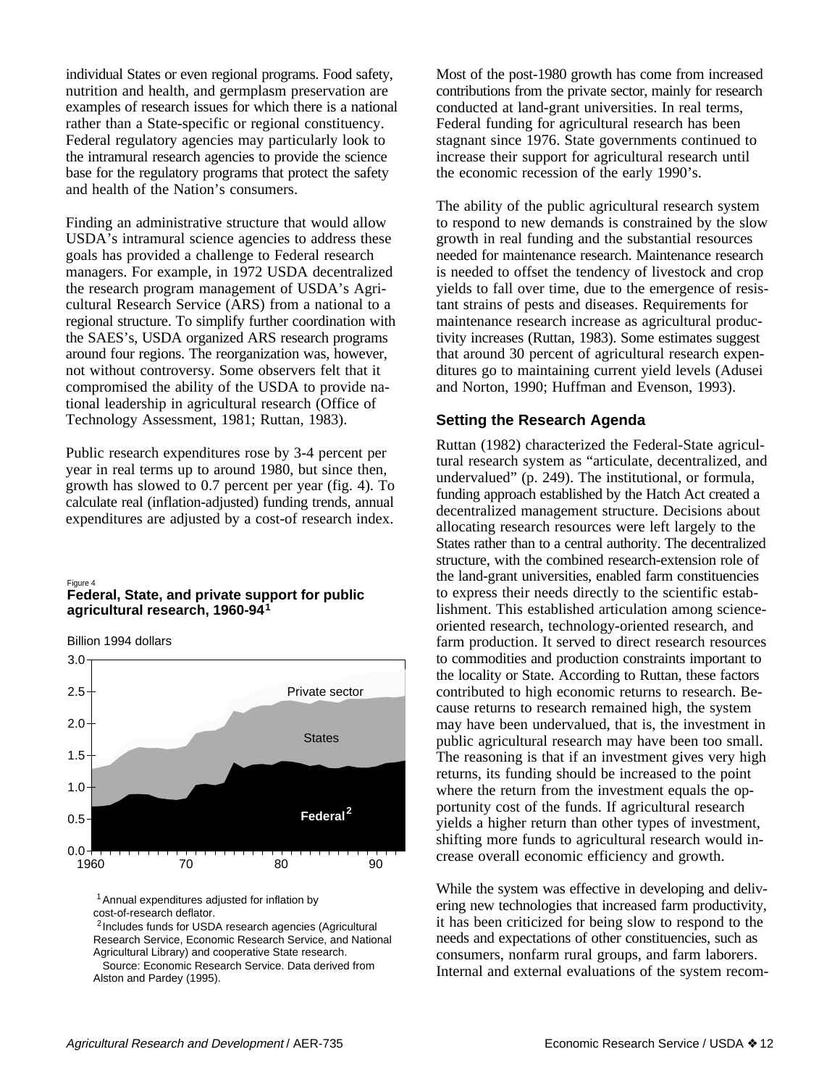individual States or even regional programs. Food safety, nutrition and health, and germplasm preservation are examples of research issues for which there is a national rather than a State-specific or regional constituency. Federal regulatory agencies may particularly look to the intramural research agencies to provide the science base for the regulatory programs that protect the safety and health of the Nation's consumers.

Finding an administrative structure that would allow USDA's intramural science agencies to address these goals has provided a challenge to Federal research managers. For example, in 1972 USDA decentralized the research program management of USDA's Agricultural Research Service (ARS) from a national to a regional structure. To simplify further coordination with the SAES's, USDA organized ARS research programs around four regions. The reorganization was, however, not without controversy. Some observers felt that it compromised the ability of the USDA to provide national leadership in agricultural research (Office of Technology Assessment, 1981; Ruttan, 1983).

Public research expenditures rose by 3-4 percent per year in real terms up to around 1980, but since then, growth has slowed to 0.7 percent per year (fig. 4). To calculate real (inflation-adjusted) funding trends, annual expenditures are adjusted by a cost-of research index.

#### **1 agricultural research, 1960-94** Figure 4 **Federal, State, and private support for public**

Billion 1994 dollars



<sup>1</sup> Annual expenditures adjusted for inflation by cost-of-research deflator.

2 Includes funds for USDA research agencies (Agricultural Research Service, Economic Research Service, and National Agricultural Library) and cooperative State research.

 Source: Economic Research Service. Data derived from Alston and Pardey (1995).

Most of the post-1980 growth has come from increased contributions from the private sector, mainly for research conducted at land-grant universities. In real terms, Federal funding for agricultural research has been stagnant since 1976. State governments continued to increase their support for agricultural research until the economic recession of the early 1990's.

The ability of the public agricultural research system to respond to new demands is constrained by the slow growth in real funding and the substantial resources needed for maintenance research. Maintenance research is needed to offset the tendency of livestock and crop yields to fall over time, due to the emergence of resistant strains of pests and diseases. Requirements for maintenance research increase as agricultural productivity increases (Ruttan, 1983). Some estimates suggest that around 30 percent of agricultural research expenditures go to maintaining current yield levels (Adusei and Norton, 1990; Huffman and Evenson, 1993).

# **Setting the Research Agenda**

Ruttan (1982) characterized the Federal-State agricultural research system as "articulate, decentralized, and undervalued" (p. 249). The institutional, or formula, funding approach established by the Hatch Act created a decentralized management structure. Decisions about allocating research resources were left largely to the States rather than to a central authority. The decentralized structure, with the combined research-extension role of the land-grant universities, enabled farm constituencies to express their needs directly to the scientific establishment. This established articulation among scienceoriented research, technology-oriented research, and farm production. It served to direct research resources to commodities and production constraints important to the locality or State. According to Ruttan, these factors contributed to high economic returns to research. Because returns to research remained high, the system may have been undervalued, that is, the investment in public agricultural research may have been too small. The reasoning is that if an investment gives very high returns, its funding should be increased to the point where the return from the investment equals the opportunity cost of the funds. If agricultural research yields a higher return than other types of investment, shifting more funds to agricultural research would increase overall economic efficiency and growth.

While the system was effective in developing and delivering new technologies that increased farm productivity, it has been criticized for being slow to respond to the needs and expectations of other constituencies, such as consumers, nonfarm rural groups, and farm laborers. Internal and external evaluations of the system recom-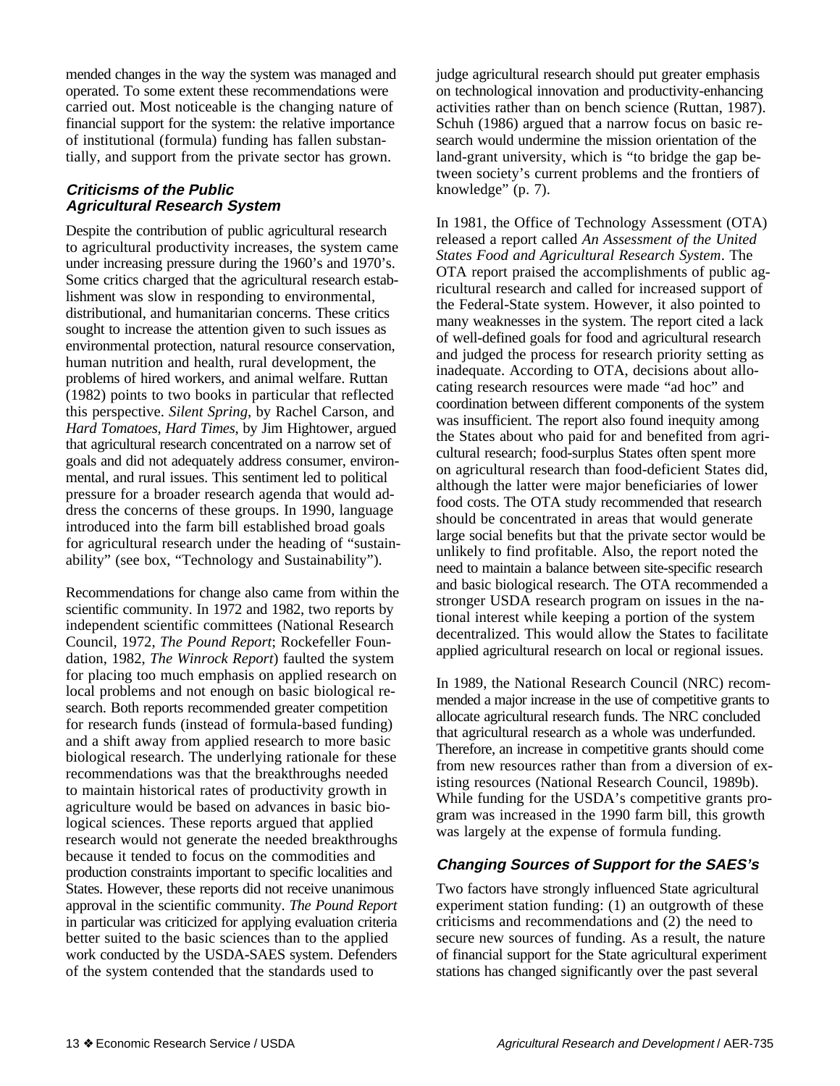mended changes in the way the system was managed and operated. To some extent these recommendations were carried out. Most noticeable is the changing nature of financial support for the system: the relative importance of institutional (formula) funding has fallen substantially, and support from the private sector has grown.

# **Criticisms of the Public Agricultural Research System**

Despite the contribution of public agricultural research to agricultural productivity increases, the system came under increasing pressure during the 1960's and 1970's. Some critics charged that the agricultural research establishment was slow in responding to environmental, distributional, and humanitarian concerns. These critics sought to increase the attention given to such issues as environmental protection, natural resource conservation, human nutrition and health, rural development, the problems of hired workers, and animal welfare. Ruttan (1982) points to two books in particular that reflected this perspective. *Silent Spring*, by Rachel Carson, and *Hard Tomatoes, Hard Times*, by Jim Hightower, argued that agricultural research concentrated on a narrow set of goals and did not adequately address consumer, environmental, and rural issues. This sentiment led to political pressure for a broader research agenda that would address the concerns of these groups. In 1990, language introduced into the farm bill established broad goals for agricultural research under the heading of "sustainability" (see box, "Technology and Sustainability").

Recommendations for change also came from within the scientific community. In 1972 and 1982, two reports by independent scientific committees (National Research Council, 1972, *The Pound Report*; Rockefeller Foundation, 1982, *The Winrock Report*) faulted the system for placing too much emphasis on applied research on local problems and not enough on basic biological research. Both reports recommended greater competition for research funds (instead of formula-based funding) and a shift away from applied research to more basic biological research. The underlying rationale for these recommendations was that the breakthroughs needed to maintain historical rates of productivity growth in agriculture would be based on advances in basic biological sciences. These reports argued that applied research would not generate the needed breakthroughs because it tended to focus on the commodities and production constraints important to specific localities and States. However, these reports did not receive unanimous approval in the scientific community. *The Pound Report* in particular was criticized for applying evaluation criteria better suited to the basic sciences than to the applied work conducted by the USDA-SAES system. Defenders of the system contended that the standards used to

judge agricultural research should put greater emphasis on technological innovation and productivity-enhancing activities rather than on bench science (Ruttan, 1987). Schuh (1986) argued that a narrow focus on basic research would undermine the mission orientation of the land-grant university, which is "to bridge the gap between society's current problems and the frontiers of knowledge" (p. 7).

In 1981, the Office of Technology Assessment (OTA) released a report called *An Assessment of the United States Food and Agricultural Research System*. The OTA report praised the accomplishments of public agricultural research and called for increased support of the Federal-State system. However, it also pointed to many weaknesses in the system. The report cited a lack of well-defined goals for food and agricultural research and judged the process for research priority setting as inadequate. According to OTA, decisions about allocating research resources were made "ad hoc" and coordination between different components of the system was insufficient. The report also found inequity among the States about who paid for and benefited from agricultural research; food-surplus States often spent more on agricultural research than food-deficient States did, although the latter were major beneficiaries of lower food costs. The OTA study recommended that research should be concentrated in areas that would generate large social benefits but that the private sector would be unlikely to find profitable. Also, the report noted the need to maintain a balance between site-specific research and basic biological research. The OTA recommended a stronger USDA research program on issues in the national interest while keeping a portion of the system decentralized. This would allow the States to facilitate applied agricultural research on local or regional issues.

In 1989, the National Research Council (NRC) recommended a major increase in the use of competitive grants to allocate agricultural research funds. The NRC concluded that agricultural research as a whole was underfunded. Therefore, an increase in competitive grants should come from new resources rather than from a diversion of existing resources (National Research Council, 1989b). While funding for the USDA's competitive grants program was increased in the 1990 farm bill, this growth was largely at the expense of formula funding.

# **Changing Sources of Support for the SAES's**

Two factors have strongly influenced State agricultural experiment station funding: (1) an outgrowth of these criticisms and recommendations and (2) the need to secure new sources of funding. As a result, the nature of financial support for the State agricultural experiment stations has changed significantly over the past several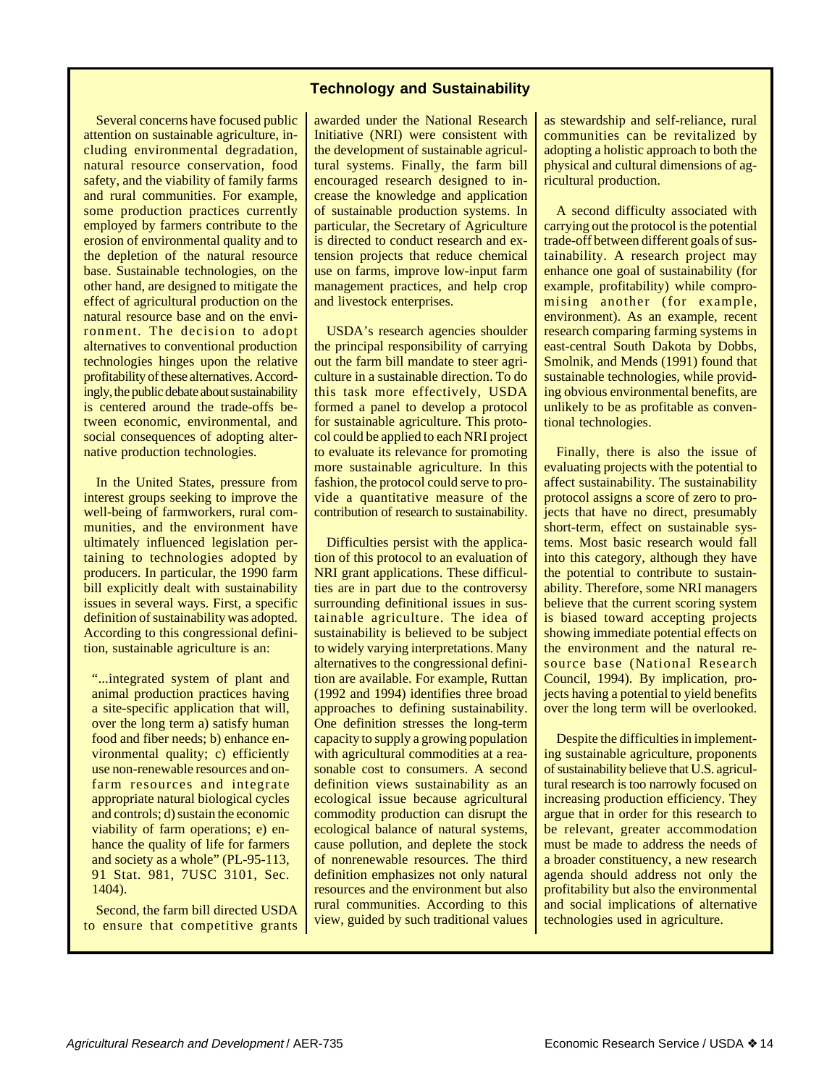## **Technology and Sustainability**

Several concerns have focused public attention on sustainable agriculture, including environmental degradation, natural resource conservation, food safety, and the viability of family farms and rural communities. For example, some production practices currently employed by farmers contribute to the erosion of environmental quality and to the depletion of the natural resource base. Sustainable technologies, on the other hand, are designed to mitigate the effect of agricultural production on the natural resource base and on the environment. The decision to adopt alternatives to conventional production technologies hinges upon the relative profitability of these alternatives. Accordingly, the public debate about sustainability is centered around the trade-offs between economic, environmental, and social consequences of adopting alternative production technologies.

In the United States, pressure from interest groups seeking to improve the well-being of farmworkers, rural communities, and the environment have ultimately influenced legislation pertaining to technologies adopted by producers. In particular, the 1990 farm bill explicitly dealt with sustainability issues in several ways. First, a specific definition of sustainability was adopted. According to this congressional definition, sustainable agriculture is an:

"...integrated system of plant and animal production practices having a site-specific application that will, over the long term a) satisfy human food and fiber needs; b) enhance environmental quality; c) efficiently use non-renewable resources and onfarm resources and integrate appropriate natural biological cycles and controls; d) sustain the economic viability of farm operations; e) enhance the quality of life for farmers and society as a whole" (PL-95-113, 91 Stat. 981, 7USC 3101, Sec. 1404).

Second, the farm bill directed USDA to ensure that competitive grants awarded under the National Research Initiative (NRI) were consistent with the development of sustainable agricultural systems. Finally, the farm bill encouraged research designed to increase the knowledge and application of sustainable production systems. In particular, the Secretary of Agriculture is directed to conduct research and extension projects that reduce chemical use on farms, improve low-input farm management practices, and help crop and livestock enterprises.

USDA's research agencies shoulder the principal responsibility of carrying out the farm bill mandate to steer agriculture in a sustainable direction. To do this task more effectively, USDA formed a panel to develop a protocol for sustainable agriculture. This protocol could be applied to each NRI project to evaluate its relevance for promoting more sustainable agriculture. In this fashion, the protocol could serve to provide a quantitative measure of the contribution of research to sustainability.

Difficulties persist with the application of this protocol to an evaluation of NRI grant applications. These difficulties are in part due to the controversy surrounding definitional issues in sustainable agriculture. The idea of sustainability is believed to be subject to widely varying interpretations. Many alternatives to the congressional definition are available. For example, Ruttan (1992 and 1994) identifies three broad approaches to defining sustainability. One definition stresses the long-term capacity to supply a growing population with agricultural commodities at a reasonable cost to consumers. A second definition views sustainability as an ecological issue because agricultural commodity production can disrupt the ecological balance of natural systems, cause pollution, and deplete the stock of nonrenewable resources. The third definition emphasizes not only natural resources and the environment but also rural communities. According to this view, guided by such traditional values as stewardship and self-reliance, rural communities can be revitalized by adopting a holistic approach to both the physical and cultural dimensions of agricultural production.

A second difficulty associated with carrying out the protocol is the potential trade-off between different goals of sustainability. A research project may enhance one goal of sustainability (for example, profitability) while compromising another (for example, environment). As an example, recent research comparing farming systems in east-central South Dakota by Dobbs, Smolnik, and Mends (1991) found that sustainable technologies, while providing obvious environmental benefits, are unlikely to be as profitable as conventional technologies.

Finally, there is also the issue of evaluating projects with the potential to affect sustainability. The sustainability protocol assigns a score of zero to projects that have no direct, presumably short-term, effect on sustainable systems. Most basic research would fall into this category, although they have the potential to contribute to sustainability. Therefore, some NRI managers believe that the current scoring system is biased toward accepting projects showing immediate potential effects on the environment and the natural resource base (National Research Council, 1994). By implication, projects having a potential to yield benefits over the long term will be overlooked.

Despite the difficulties in implementing sustainable agriculture, proponents of sustainability believe that U.S. agricultural research is too narrowly focused on increasing production efficiency. They argue that in order for this research to be relevant, greater accommodation must be made to address the needs of a broader constituency, a new research agenda should address not only the profitability but also the environmental and social implications of alternative technologies used in agriculture.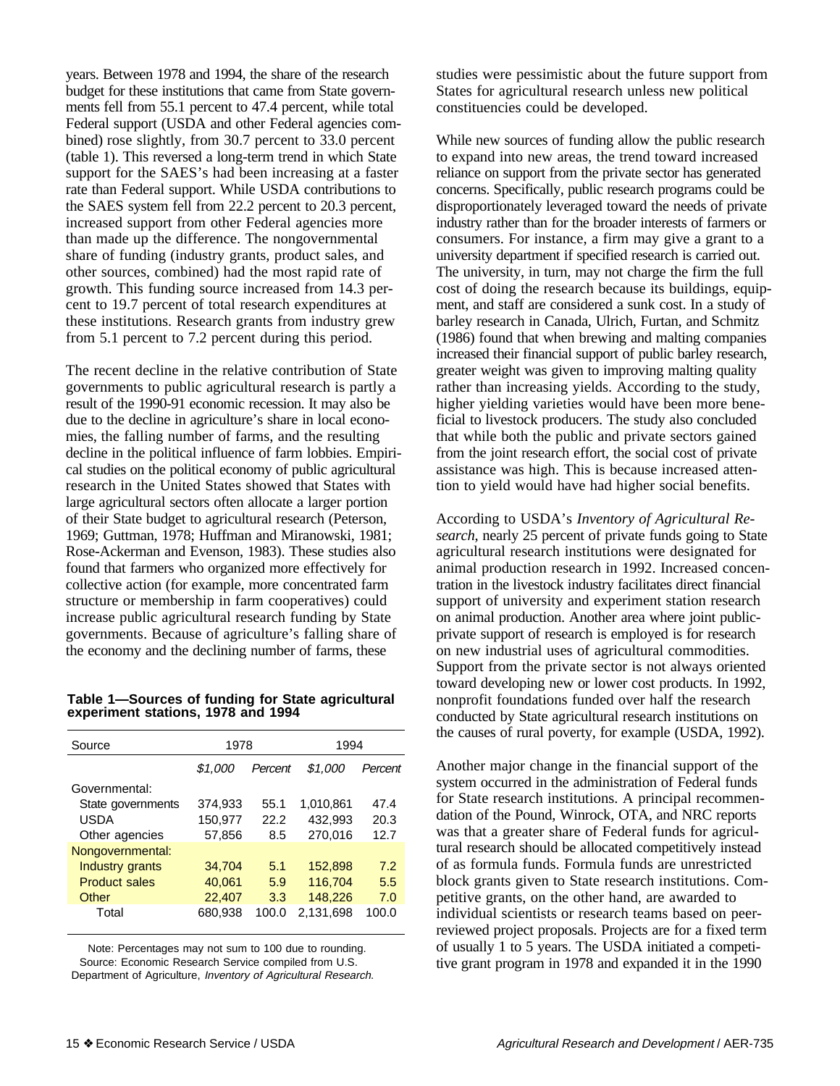years. Between 1978 and 1994, the share of the research budget for these institutions that came from State governments fell from 55.1 percent to 47.4 percent, while total Federal support (USDA and other Federal agencies combined) rose slightly, from 30.7 percent to 33.0 percent (table 1). This reversed a long-term trend in which State support for the SAES's had been increasing at a faster rate than Federal support. While USDA contributions to the SAES system fell from 22.2 percent to 20.3 percent, increased support from other Federal agencies more than made up the difference. The nongovernmental share of funding (industry grants, product sales, and other sources, combined) had the most rapid rate of growth. This funding source increased from 14.3 percent to 19.7 percent of total research expenditures at these institutions. Research grants from industry grew from 5.1 percent to 7.2 percent during this period.

The recent decline in the relative contribution of State governments to public agricultural research is partly a result of the 1990-91 economic recession. It may also be due to the decline in agriculture's share in local economies, the falling number of farms, and the resulting decline in the political influence of farm lobbies. Empirical studies on the political economy of public agricultural research in the United States showed that States with large agricultural sectors often allocate a larger portion of their State budget to agricultural research (Peterson, 1969; Guttman, 1978; Huffman and Miranowski, 1981; Rose-Ackerman and Evenson, 1983). These studies also found that farmers who organized more effectively for collective action (for example, more concentrated farm structure or membership in farm cooperatives) could increase public agricultural research funding by State governments. Because of agriculture's falling share of the economy and the declining number of farms, these

#### **Table 1—Sources of funding for State agricultural experiment stations, 1978 and 1994**

| Source               | 1978    |         | 1994      |         |  |  |
|----------------------|---------|---------|-----------|---------|--|--|
|                      | \$1.000 | Percent | \$1.000   | Percent |  |  |
| Governmental:        |         |         |           |         |  |  |
| State governments    | 374,933 | 55.1    | 1,010,861 | 47.4    |  |  |
| USDA                 | 150,977 | 22.2    | 432,993   | 20.3    |  |  |
| Other agencies       | 57,856  | 8.5     | 270.016   | 12.7    |  |  |
| Nongovernmental:     |         |         |           |         |  |  |
| Industry grants      | 34,704  | 5.1     | 152,898   | 7.2     |  |  |
| <b>Product sales</b> | 40,061  | 5.9     | 116,704   | 5.5     |  |  |
| Other                | 22,407  | 3.3     | 148,226   | 7.0     |  |  |
| Total                | 680,938 | 100.0   | 2,131,698 | 100.0   |  |  |

Note: Percentages may not sum to 100 due to rounding. Source: Economic Research Service compiled from U.S. Department of Agriculture, Inventory of Agricultural Research. studies were pessimistic about the future support from States for agricultural research unless new political constituencies could be developed.

While new sources of funding allow the public research to expand into new areas, the trend toward increased reliance on support from the private sector has generated concerns. Specifically, public research programs could be disproportionately leveraged toward the needs of private industry rather than for the broader interests of farmers or consumers. For instance, a firm may give a grant to a university department if specified research is carried out. The university, in turn, may not charge the firm the full cost of doing the research because its buildings, equipment, and staff are considered a sunk cost. In a study of barley research in Canada, Ulrich, Furtan, and Schmitz (1986) found that when brewing and malting companies increased their financial support of public barley research, greater weight was given to improving malting quality rather than increasing yields. According to the study, higher yielding varieties would have been more beneficial to livestock producers. The study also concluded that while both the public and private sectors gained from the joint research effort, the social cost of private assistance was high. This is because increased attention to yield would have had higher social benefits.

According to USDA's *Inventory of Agricultural Research*, nearly 25 percent of private funds going to State agricultural research institutions were designated for animal production research in 1992. Increased concentration in the livestock industry facilitates direct financial support of university and experiment station research on animal production. Another area where joint publicprivate support of research is employed is for research on new industrial uses of agricultural commodities. Support from the private sector is not always oriented toward developing new or lower cost products. In 1992, nonprofit foundations funded over half the research conducted by State agricultural research institutions on the causes of rural poverty, for example (USDA, 1992).

Another major change in the financial support of the system occurred in the administration of Federal funds for State research institutions. A principal recommendation of the Pound, Winrock, OTA, and NRC reports was that a greater share of Federal funds for agricultural research should be allocated competitively instead of as formula funds. Formula funds are unrestricted block grants given to State research institutions. Competitive grants, on the other hand, are awarded to individual scientists or research teams based on peerreviewed project proposals. Projects are for a fixed term of usually 1 to 5 years. The USDA initiated a competitive grant program in 1978 and expanded it in the 1990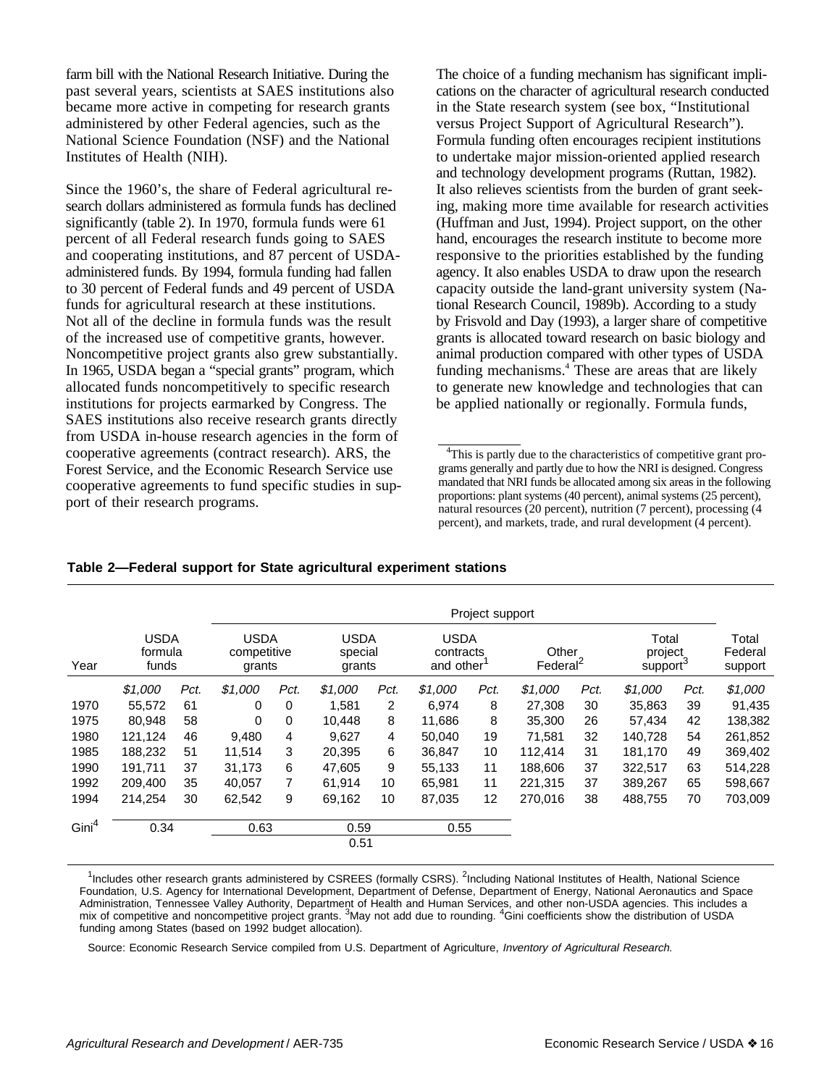farm bill with the National Research Initiative. During the past several years, scientists at SAES institutions also became more active in competing for research grants administered by other Federal agencies, such as the National Science Foundation (NSF) and the National Institutes of Health (NIH).

Since the 1960's, the share of Federal agricultural research dollars administered as formula funds has declined significantly (table 2). In 1970, formula funds were 61 percent of all Federal research funds going to SAES and cooperating institutions, and 87 percent of USDAadministered funds. By 1994, formula funding had fallen to 30 percent of Federal funds and 49 percent of USDA funds for agricultural research at these institutions. Not all of the decline in formula funds was the result of the increased use of competitive grants, however. Noncompetitive project grants also grew substantially. In 1965, USDA began a "special grants" program, which allocated funds noncompetitively to specific research institutions for projects earmarked by Congress. The SAES institutions also receive research grants directly from USDA in-house research agencies in the form of cooperative agreements (contract research). ARS, the Forest Service, and the Economic Research Service use cooperative agreements to fund specific studies in support of their research programs.

The choice of a funding mechanism has significant implications on the character of agricultural research conducted in the State research system (see box, "Institutional versus Project Support of Agricultural Research"). Formula funding often encourages recipient institutions to undertake major mission-oriented applied research and technology development programs (Ruttan, 1982). It also relieves scientists from the burden of grant seeking, making more time available for research activities (Huffman and Just, 1994). Project support, on the other hand, encourages the research institute to become more responsive to the priorities established by the funding agency. It also enables USDA to draw upon the research capacity outside the land-grant university system (National Research Council, 1989b). According to a study by Frisvold and Day (1993), a larger share of competitive grants is allocated toward research on basic biology and animal production compared with other types of USDA funding mechanisms.<sup>4</sup> These are areas that are likely to generate new knowledge and technologies that can be applied nationally or regionally. Formula funds,

|                   | Project support |                                 |         |                                      |              |                                  |         |                                       |         |                       |         |                                          |         |
|-------------------|-----------------|---------------------------------|---------|--------------------------------------|--------------|----------------------------------|---------|---------------------------------------|---------|-----------------------|---------|------------------------------------------|---------|
| Year              |                 | <b>USDA</b><br>formula<br>funds |         | <b>USDA</b><br>competitive<br>grants |              | <b>USDA</b><br>special<br>grants |         | <b>USDA</b><br>contracts<br>and other |         | Other<br>Federal $^2$ |         | Total<br>project<br>support <sup>3</sup> |         |
|                   | \$1,000         | Pct.                            | \$1.000 | Pct.                                 | \$1.000      | Pct.                             | \$1.000 | Pct.                                  | \$1,000 | Pct.                  | \$1,000 | Pct.                                     | \$1,000 |
| 1970              | 55.572          | 61                              | 0       | $\Omega$                             | 1,581        | 2                                | 6.974   | 8                                     | 27,308  | 30                    | 35,863  | 39                                       | 91,435  |
| 1975              | 80,948          | 58                              | 0       | 0                                    | 10.448       | 8                                | 11,686  | 8                                     | 35,300  | 26                    | 57,434  | 42                                       | 138,382 |
| 1980              | 121,124         | 46                              | 9,480   | 4                                    | 9,627        | 4                                | 50,040  | 19                                    | 71,581  | 32                    | 140,728 | 54                                       | 261,852 |
| 1985              | 188.232         | 51                              | 11,514  | 3                                    | 20,395       | 6                                | 36,847  | 10                                    | 112.414 | 31                    | 181.170 | 49                                       | 369,402 |
| 1990              | 191.711         | 37                              | 31,173  | 6                                    | 47.605       | 9                                | 55,133  | 11                                    | 188,606 | 37                    | 322.517 | 63                                       | 514,228 |
| 1992              | 209,400         | 35                              | 40,057  | 7                                    | 61,914       | 10                               | 65,981  | 11                                    | 221,315 | 37                    | 389,267 | 65                                       | 598,667 |
| 1994              | 214.254         | 30                              | 62.542  | 9                                    | 69.162       | 10                               | 87,035  | 12                                    | 270.016 | 38                    | 488.755 | 70                                       | 703.009 |
| Gini <sup>4</sup> | 0.34            |                                 | 0.63    |                                      | 0.59<br>0.51 |                                  | 0.55    |                                       |         |                       |         |                                          |         |

**Table 2—Federal support for State agricultural experiment stations**

<sup>1</sup>Includes other research grants administered by CSREES (formally CSRS). <sup>2</sup>Including National Institutes of Health, National Science Foundation, U.S. Agency for International Development, Department of Defense, Department of Energy, National Aeronautics and Space Administration, Tennessee Valley Authority, Department of Health and Human Services, and other non-USDA agencies. This includes a mix of competitive and noncompetitive project grants. <sup>3</sup>May not add due to rounding. <sup>4</sup>Gini coefficients show the distribution of USDA funding among States (based on 1992 budget allocation).

Source: Economic Research Service compiled from U.S. Department of Agriculture, Inventory of Agricultural Research.

<sup>&</sup>lt;sup>4</sup>This is partly due to the characteristics of competitive grant programs generally and partly due to how the NRI is designed. Congress mandated that NRI funds be allocated among six areas in the following proportions: plant systems (40 percent), animal systems (25 percent), natural resources (20 percent), nutrition (7 percent), processing (4 percent), and markets, trade, and rural development (4 percent).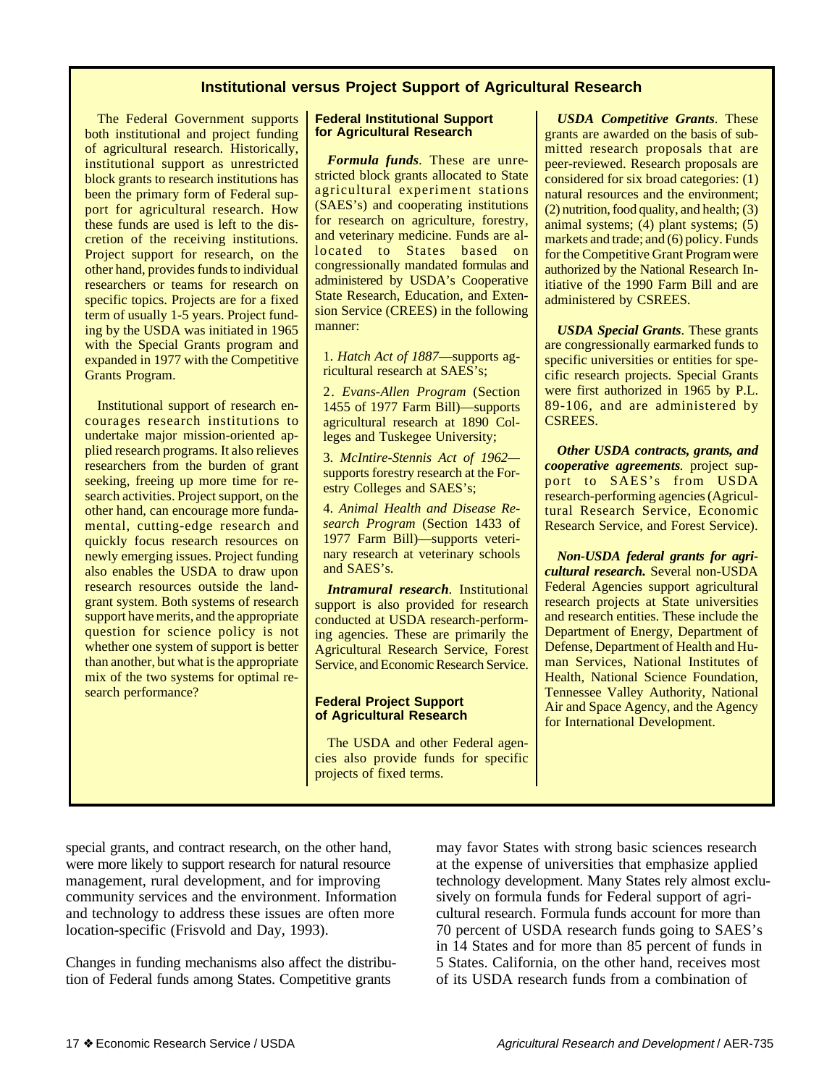# **Institutional versus Project Support of Agricultural Research**

The Federal Government supports both institutional and project funding of agricultural research. Historically, institutional support as unrestricted block grants to research institutions has been the primary form of Federal support for agricultural research. How these funds are used is left to the discretion of the receiving institutions. Project support for research, on the other hand, provides funds to individual researchers or teams for research on specific topics. Projects are for a fixed term of usually 1-5 years. Project funding by the USDA was initiated in 1965 with the Special Grants program and expanded in 1977 with the Competitive Grants Program.

Institutional support of research encourages research institutions to undertake major mission-oriented applied research programs. It also relieves researchers from the burden of grant seeking, freeing up more time for research activities. Project support, on the other hand, can encourage more fundamental, cutting-edge research and quickly focus research resources on newly emerging issues. Project funding also enables the USDA to draw upon research resources outside the landgrant system. Both systems of research support have merits, and the appropriate question for science policy is not whether one system of support is better than another, but what is the appropriate mix of the two systems for optimal research performance?

#### **Federal Institutional Support for Agricultural Research**

*Formula funds*. These are unrestricted block grants allocated to State agricultural experiment stations (SAES's) and cooperating institutions for research on agriculture, forestry, and veterinary medicine. Funds are allocated to States based on congressionally mandated formulas and administered by USDA's Cooperative State Research, Education, and Extension Service (CREES) in the following manner:

1. *Hatch Act of 1887*—supports agricultural research at SAES's;

2. *Evans-Allen Program* (Section 1455 of 1977 Farm Bill)—supports agricultural research at 1890 Colleges and Tuskegee University;

3. *McIntire-Stennis Act of 1962* supports forestry research at the Forestry Colleges and SAES's;

4. *Animal Health and Disease Research Program* (Section 1433 of 1977 Farm Bill)—supports veterinary research at veterinary schools and SAES's.

*Intramural research*. Institutional support is also provided for research conducted at USDA research-performing agencies. These are primarily the Agricultural Research Service, Forest Service, and Economic Research Service.

#### **Federal Project Support of Agricultural Research**

The USDA and other Federal agencies also provide funds for specific projects of fixed terms.

*USDA Competitive Grants*. These grants are awarded on the basis of submitted research proposals that are peer-reviewed. Research proposals are considered for six broad categories: (1) natural resources and the environment; (2) nutrition, food quality, and health; (3) animal systems; (4) plant systems; (5) markets and trade; and (6) policy. Funds for the Competitive Grant Program were authorized by the National Research Initiative of the 1990 Farm Bill and are administered by CSREES.

*USDA Special Grants*. These grants are congressionally earmarked funds to specific universities or entities for specific research projects. Special Grants were first authorized in 1965 by P.L. 89-106, and are administered by CSREES.

*Other USDA contracts, grants, and cooperative agreements.* project support to SAES's from USDA research-performing agencies (Agricultural Research Service, Economic Research Service, and Forest Service).

*Non-USDA federal grants for agricultural research.* Several non-USDA Federal Agencies support agricultural research projects at State universities and research entities. These include the Department of Energy, Department of Defense, Department of Health and Human Services, National Institutes of Health, National Science Foundation, Tennessee Valley Authority, National Air and Space Agency, and the Agency for International Development.

special grants, and contract research, on the other hand, were more likely to support research for natural resource management, rural development, and for improving community services and the environment. Information and technology to address these issues are often more location-specific (Frisvold and Day, 1993).

Changes in funding mechanisms also affect the distribution of Federal funds among States. Competitive grants

may favor States with strong basic sciences research at the expense of universities that emphasize applied technology development. Many States rely almost exclusively on formula funds for Federal support of agricultural research. Formula funds account for more than 70 percent of USDA research funds going to SAES's in 14 States and for more than 85 percent of funds in 5 States. California, on the other hand, receives most of its USDA research funds from a combination of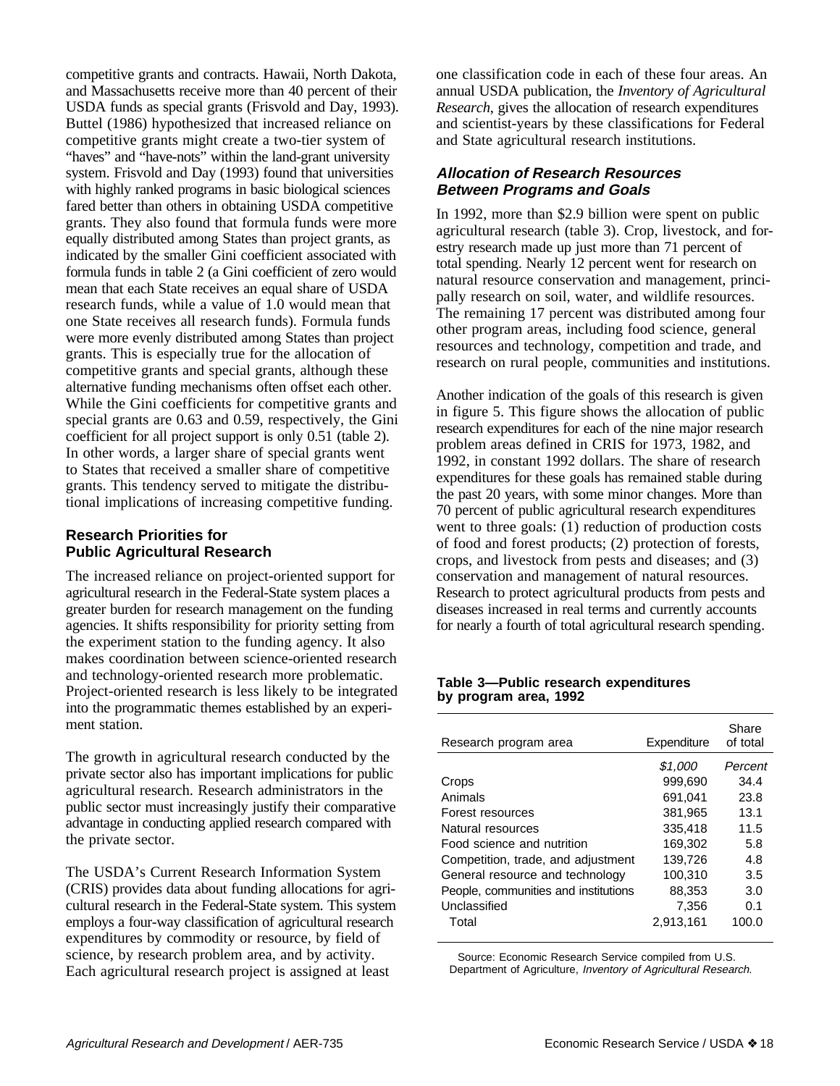competitive grants and contracts. Hawaii, North Dakota, and Massachusetts receive more than 40 percent of their USDA funds as special grants (Frisvold and Day, 1993). Buttel (1986) hypothesized that increased reliance on competitive grants might create a two-tier system of "haves" and "have-nots" within the land-grant university system. Frisvold and Day (1993) found that universities with highly ranked programs in basic biological sciences fared better than others in obtaining USDA competitive grants. They also found that formula funds were more equally distributed among States than project grants, as indicated by the smaller Gini coefficient associated with formula funds in table 2 (a Gini coefficient of zero would mean that each State receives an equal share of USDA research funds, while a value of 1.0 would mean that one State receives all research funds). Formula funds were more evenly distributed among States than project grants. This is especially true for the allocation of competitive grants and special grants, although these alternative funding mechanisms often offset each other. While the Gini coefficients for competitive grants and special grants are 0.63 and 0.59, respectively, the Gini coefficient for all project support is only 0.51 (table 2). In other words, a larger share of special grants went to States that received a smaller share of competitive grants. This tendency served to mitigate the distributional implications of increasing competitive funding.

# **Research Priorities for Public Agricultural Research**

The increased reliance on project-oriented support for agricultural research in the Federal-State system places a greater burden for research management on the funding agencies. It shifts responsibility for priority setting from the experiment station to the funding agency. It also makes coordination between science-oriented research and technology-oriented research more problematic. Project-oriented research is less likely to be integrated into the programmatic themes established by an experiment station.

The growth in agricultural research conducted by the private sector also has important implications for public agricultural research. Research administrators in the public sector must increasingly justify their comparative advantage in conducting applied research compared with the private sector.

The USDA's Current Research Information System (CRIS) provides data about funding allocations for agricultural research in the Federal-State system. This system employs a four-way classification of agricultural research expenditures by commodity or resource, by field of science, by research problem area, and by activity. Each agricultural research project is assigned at least

one classification code in each of these four areas. An annual USDA publication, the *Inventory of Agricultural Research*, gives the allocation of research expenditures and scientist-years by these classifications for Federal and State agricultural research institutions.

# **Allocation of Research Resources Between Programs and Goals**

In 1992, more than \$2.9 billion were spent on public agricultural research (table 3). Crop, livestock, and forestry research made up just more than 71 percent of total spending. Nearly 12 percent went for research on natural resource conservation and management, principally research on soil, water, and wildlife resources. The remaining 17 percent was distributed among four other program areas, including food science, general resources and technology, competition and trade, and research on rural people, communities and institutions.

Another indication of the goals of this research is given in figure 5. This figure shows the allocation of public research expenditures for each of the nine major research problem areas defined in CRIS for 1973, 1982, and 1992, in constant 1992 dollars. The share of research expenditures for these goals has remained stable during the past 20 years, with some minor changes. More than 70 percent of public agricultural research expenditures went to three goals: (1) reduction of production costs of food and forest products; (2) protection of forests, crops, and livestock from pests and diseases; and (3) conservation and management of natural resources. Research to protect agricultural products from pests and diseases increased in real terms and currently accounts for nearly a fourth of total agricultural research spending.

#### **Table 3—Public research expenditures by program area, 1992**

| Research program area                | Expenditure | Share<br>of total |
|--------------------------------------|-------------|-------------------|
|                                      | \$1.000     | Percent           |
| Crops                                | 999.690     | 34.4              |
| Animals                              | 691.041     | 23.8              |
| Forest resources                     | 381,965     | 13.1              |
| Natural resources                    | 335.418     | 11.5              |
| Food science and nutrition           | 169.302     | 5.8               |
| Competition, trade, and adjustment   | 139.726     | 4.8               |
| General resource and technology      | 100,310     | 3.5               |
| People, communities and institutions | 88,353      | 3.0               |
| Unclassified                         | 7,356       | 0.1               |
| Total                                | 2,913,161   | 100.0             |

Source: Economic Research Service compiled from U.S. Department of Agriculture, Inventory of Agricultural Research.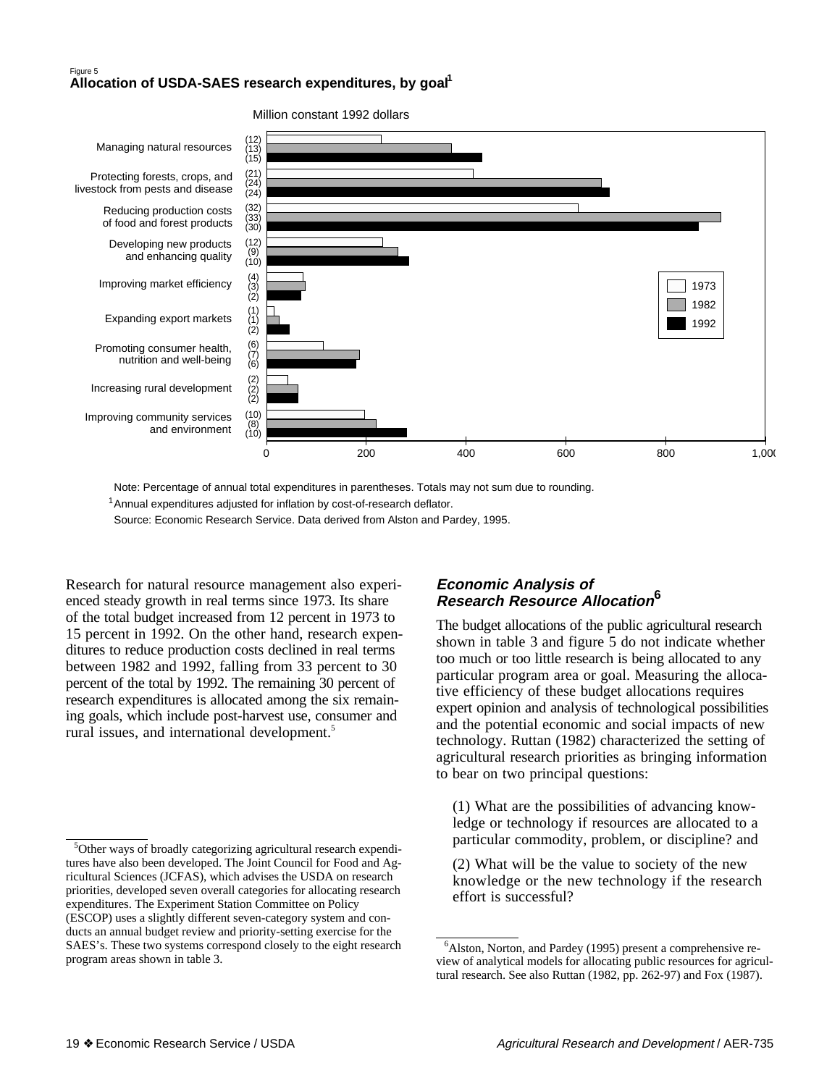# **<sup>1</sup>** Figure 5 **Allocation of USDA-SAES research expenditures, by goal**



Million constant 1992 dollars

Note: Percentage of annual total expenditures in parentheses. Totals may not sum due to rounding.

<sup>1</sup> Annual expenditures adjusted for inflation by cost-of-research deflator.

Source: Economic Research Service. Data derived from Alston and Pardey, 1995.

Research for natural resource management also experienced steady growth in real terms since 1973. Its share of the total budget increased from 12 percent in 1973 to 15 percent in 1992. On the other hand, research expenditures to reduce production costs declined in real terms between 1982 and 1992, falling from 33 percent to 30 percent of the total by 1992. The remaining 30 percent of research expenditures is allocated among the six remaining goals, which include post-harvest use, consumer and rural issues, and international development.<sup>5</sup>

# **Economic Analysis of Research Resource Allocation6**

The budget allocations of the public agricultural research shown in table 3 and figure 5 do not indicate whether too much or too little research is being allocated to any particular program area or goal. Measuring the allocative efficiency of these budget allocations requires expert opinion and analysis of technological possibilities and the potential economic and social impacts of new technology. Ruttan (1982) characterized the setting of agricultural research priorities as bringing information to bear on two principal questions:

(1) What are the possibilities of advancing knowledge or technology if resources are allocated to a particular commodity, problem, or discipline? and

(2) What will be the value to society of the new knowledge or the new technology if the research effort is successful?

<sup>&</sup>lt;sup>5</sup>Other ways of broadly categorizing agricultural research expenditures have also been developed. The Joint Council for Food and Agricultural Sciences (JCFAS), which advises the USDA on research priorities, developed seven overall categories for allocating research expenditures. The Experiment Station Committee on Policy (ESCOP) uses a slightly different seven-category system and conducts an annual budget review and priority-setting exercise for the SAES's. These two systems correspond closely to the eight research program areas shown in table 3.

<sup>&</sup>lt;sup>6</sup>Alston, Norton, and Pardey (1995) present a comprehensive review of analytical models for allocating public resources for agricultural research. See also Ruttan (1982, pp. 262-97) and Fox (1987).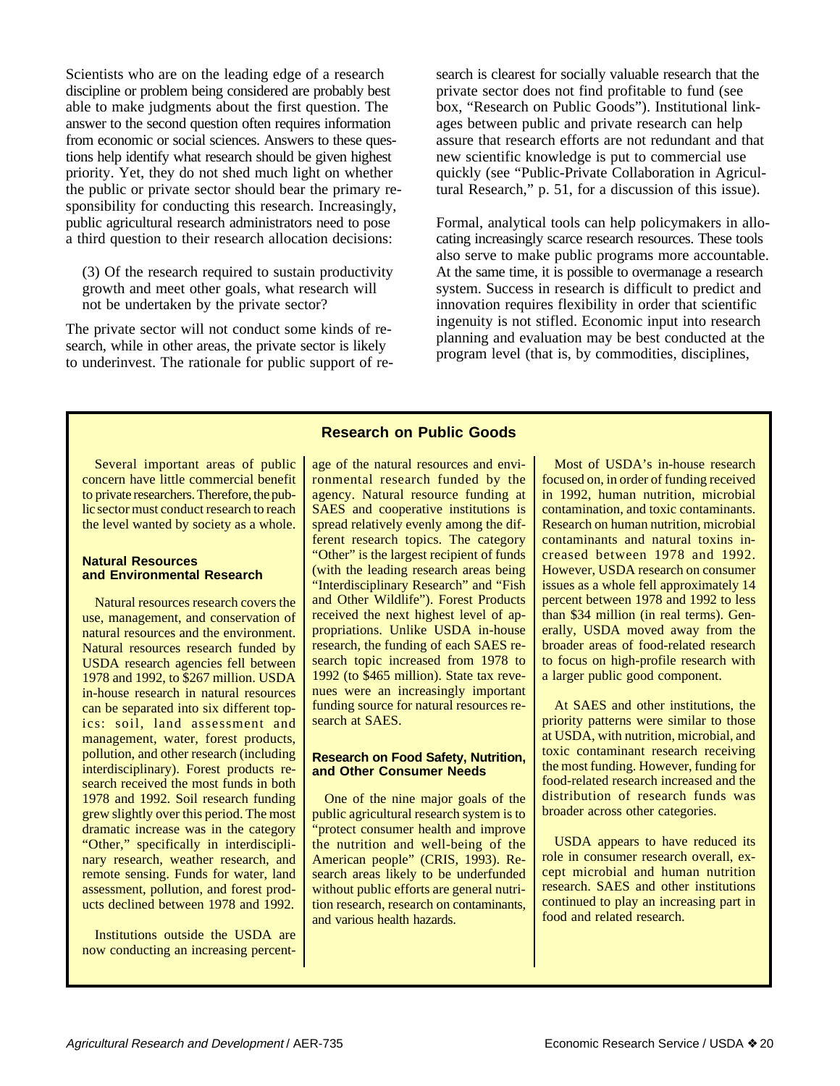Scientists who are on the leading edge of a research discipline or problem being considered are probably best able to make judgments about the first question. The answer to the second question often requires information from economic or social sciences. Answers to these questions help identify what research should be given highest priority. Yet, they do not shed much light on whether the public or private sector should bear the primary responsibility for conducting this research. Increasingly, public agricultural research administrators need to pose a third question to their research allocation decisions:

(3) Of the research required to sustain productivity growth and meet other goals, what research will not be undertaken by the private sector?

The private sector will not conduct some kinds of research, while in other areas, the private sector is likely to underinvest. The rationale for public support of research is clearest for socially valuable research that the private sector does not find profitable to fund (see box, "Research on Public Goods"). Institutional linkages between public and private research can help assure that research efforts are not redundant and that new scientific knowledge is put to commercial use quickly (see "Public-Private Collaboration in Agricultural Research," p. 51, for a discussion of this issue).

Formal, analytical tools can help policymakers in allocating increasingly scarce research resources. These tools also serve to make public programs more accountable. At the same time, it is possible to overmanage a research system. Success in research is difficult to predict and innovation requires flexibility in order that scientific ingenuity is not stifled. Economic input into research planning and evaluation may be best conducted at the program level (that is, by commodities, disciplines,

## **Research on Public Goods**

Several important areas of public concern have little commercial benefit to private researchers. Therefore, the public sector must conduct research to reach the level wanted by society as a whole.

#### **Natural Resources and Environmental Research**

Natural resources research covers the use, management, and conservation of natural resources and the environment. Natural resources research funded by USDA research agencies fell between 1978 and 1992, to \$267 million. USDA in-house research in natural resources can be separated into six different topics: soil, land assessment and management, water, forest products, pollution, and other research (including interdisciplinary). Forest products research received the most funds in both 1978 and 1992. Soil research funding grew slightly over this period. The most dramatic increase was in the category "Other," specifically in interdisciplinary research, weather research, and remote sensing. Funds for water, land assessment, pollution, and forest products declined between 1978 and 1992.

Institutions outside the USDA are now conducting an increasing percent-

age of the natural resources and environmental research funded by the agency. Natural resource funding at SAES and cooperative institutions is spread relatively evenly among the different research topics. The category "Other" is the largest recipient of funds (with the leading research areas being "Interdisciplinary Research" and "Fish and Other Wildlife"). Forest Products received the next highest level of appropriations. Unlike USDA in-house research, the funding of each SAES research topic increased from 1978 to 1992 (to \$465 million). State tax revenues were an increasingly important funding source for natural resources research at SAES.

#### **Research on Food Safety, Nutrition, and Other Consumer Needs**

One of the nine major goals of the public agricultural research system is to "protect consumer health and improve the nutrition and well-being of the American people" (CRIS, 1993). Research areas likely to be underfunded without public efforts are general nutrition research, research on contaminants, and various health hazards.

Most of USDA's in-house research focused on, in order of funding received in 1992, human nutrition, microbial contamination, and toxic contaminants. Research on human nutrition, microbial contaminants and natural toxins increased between 1978 and 1992. However, USDA research on consumer issues as a whole fell approximately 14 percent between 1978 and 1992 to less than \$34 million (in real terms). Generally, USDA moved away from the broader areas of food-related research to focus on high-profile research with a larger public good component.

At SAES and other institutions, the priority patterns were similar to those at USDA, with nutrition, microbial, and toxic contaminant research receiving the most funding. However, funding for food-related research increased and the distribution of research funds was broader across other categories.

USDA appears to have reduced its role in consumer research overall, except microbial and human nutrition research. SAES and other institutions continued to play an increasing part in food and related research.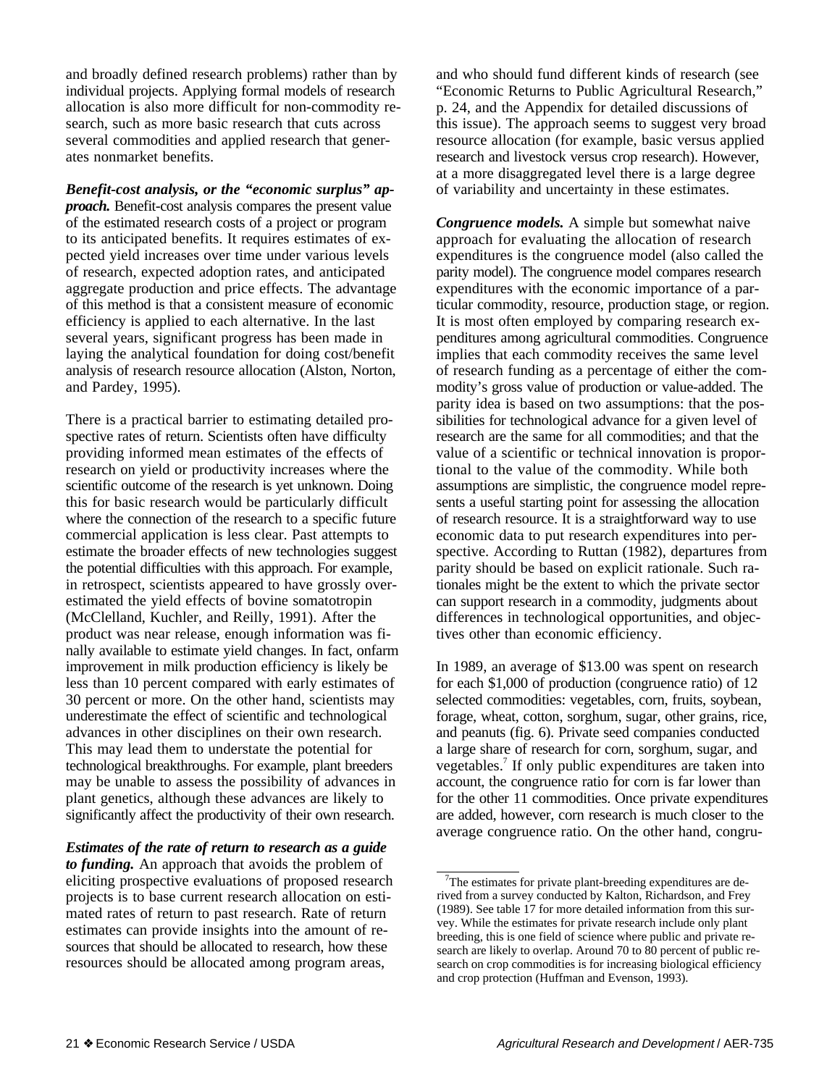and broadly defined research problems) rather than by individual projects. Applying formal models of research allocation is also more difficult for non-commodity research, such as more basic research that cuts across several commodities and applied research that generates nonmarket benefits.

*Benefit-cost analysis, or the "economic surplus" approach.* Benefit-cost analysis compares the present value of the estimated research costs of a project or program to its anticipated benefits. It requires estimates of expected yield increases over time under various levels of research, expected adoption rates, and anticipated aggregate production and price effects. The advantage of this method is that a consistent measure of economic efficiency is applied to each alternative. In the last several years, significant progress has been made in laying the analytical foundation for doing cost/benefit analysis of research resource allocation (Alston, Norton, and Pardey, 1995).

There is a practical barrier to estimating detailed prospective rates of return. Scientists often have difficulty providing informed mean estimates of the effects of research on yield or productivity increases where the scientific outcome of the research is yet unknown. Doing this for basic research would be particularly difficult where the connection of the research to a specific future commercial application is less clear. Past attempts to estimate the broader effects of new technologies suggest the potential difficulties with this approach. For example, in retrospect, scientists appeared to have grossly overestimated the yield effects of bovine somatotropin (McClelland, Kuchler, and Reilly, 1991). After the product was near release, enough information was finally available to estimate yield changes. In fact, onfarm improvement in milk production efficiency is likely be less than 10 percent compared with early estimates of 30 percent or more. On the other hand, scientists may underestimate the effect of scientific and technological advances in other disciplines on their own research. This may lead them to understate the potential for technological breakthroughs. For example, plant breeders may be unable to assess the possibility of advances in plant genetics, although these advances are likely to significantly affect the productivity of their own research.

*Estimates of the rate of return to research as a guide to funding.* An approach that avoids the problem of eliciting prospective evaluations of proposed research projects is to base current research allocation on estimated rates of return to past research. Rate of return estimates can provide insights into the amount of resources that should be allocated to research, how these resources should be allocated among program areas,

and who should fund different kinds of research (see "Economic Returns to Public Agricultural Research," p. 24, and the Appendix for detailed discussions of this issue). The approach seems to suggest very broad resource allocation (for example, basic versus applied research and livestock versus crop research). However, at a more disaggregated level there is a large degree of variability and uncertainty in these estimates.

*Congruence models.* A simple but somewhat naive approach for evaluating the allocation of research expenditures is the congruence model (also called the parity model). The congruence model compares research expenditures with the economic importance of a particular commodity, resource, production stage, or region. It is most often employed by comparing research expenditures among agricultural commodities. Congruence implies that each commodity receives the same level of research funding as a percentage of either the commodity's gross value of production or value-added. The parity idea is based on two assumptions: that the possibilities for technological advance for a given level of research are the same for all commodities; and that the value of a scientific or technical innovation is proportional to the value of the commodity. While both assumptions are simplistic, the congruence model represents a useful starting point for assessing the allocation of research resource. It is a straightforward way to use economic data to put research expenditures into perspective. According to Ruttan (1982), departures from parity should be based on explicit rationale. Such rationales might be the extent to which the private sector can support research in a commodity, judgments about differences in technological opportunities, and objectives other than economic efficiency.

In 1989, an average of \$13.00 was spent on research for each \$1,000 of production (congruence ratio) of 12 selected commodities: vegetables, corn, fruits, soybean, forage, wheat, cotton, sorghum, sugar, other grains, rice, and peanuts (fig. 6). Private seed companies conducted a large share of research for corn, sorghum, sugar, and vegetables.<sup>7</sup> If only public expenditures are taken into account, the congruence ratio for corn is far lower than for the other 11 commodities. Once private expenditures are added, however, corn research is much closer to the average congruence ratio. On the other hand, congru-

<sup>&</sup>lt;sup>7</sup>The estimates for private plant-breeding expenditures are derived from a survey conducted by Kalton, Richardson, and Frey (1989). See table 17 for more detailed information from this survey. While the estimates for private research include only plant breeding, this is one field of science where public and private research are likely to overlap. Around 70 to 80 percent of public research on crop commodities is for increasing biological efficiency and crop protection (Huffman and Evenson, 1993).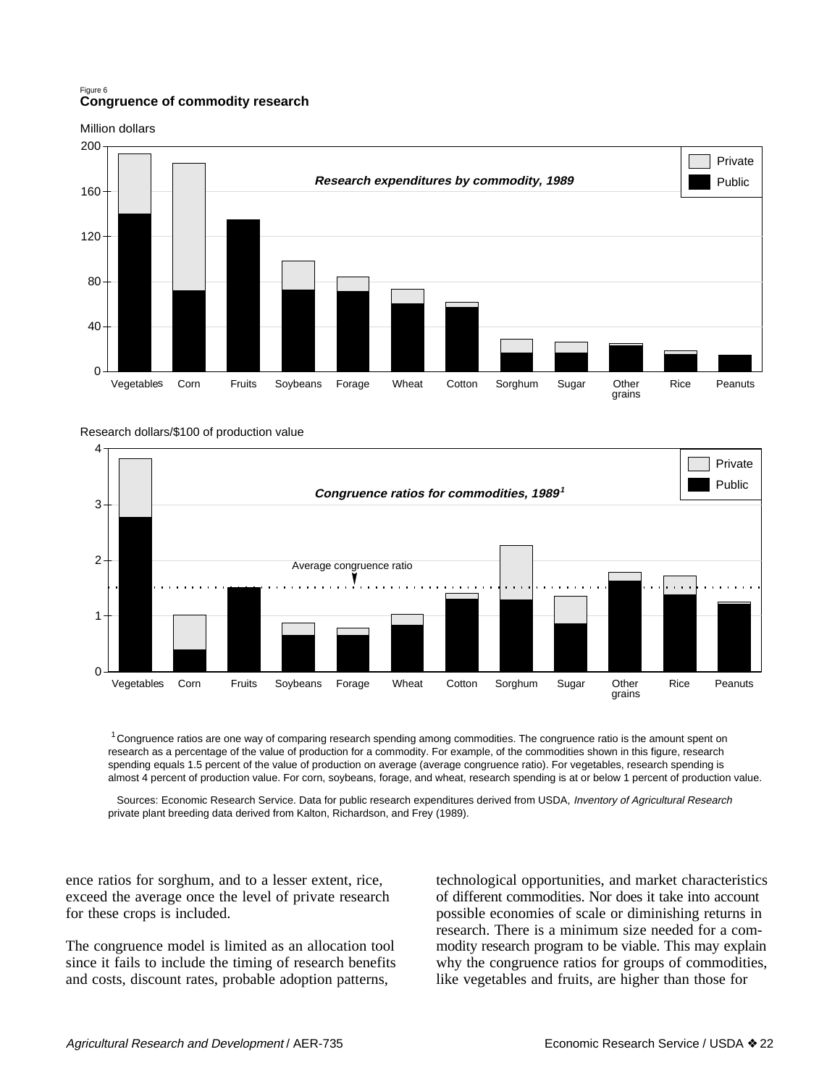#### Figure 6 **Congruence of commodity research**

Million dollars



Research dollars/\$100 of production value



1 Congruence ratios are one way of comparing research spending among commodities. The congruence ratio is the amount spent on research as a percentage of the value of production for a commodity. For example, of the commodities shown in this figure, research spending equals 1.5 percent of the value of production on average (average congruence ratio). For vegetables, research spending is almost 4 percent of production value. For corn, soybeans, forage, and wheat, research spending is at or below 1 percent of production value.

Sources: Economic Research Service. Data for public research expenditures derived from USDA, Inventory of Agricultural Research private plant breeding data derived from Kalton, Richardson, and Frey (1989).

ence ratios for sorghum, and to a lesser extent, rice, exceed the average once the level of private research for these crops is included.

The congruence model is limited as an allocation tool since it fails to include the timing of research benefits and costs, discount rates, probable adoption patterns,

technological opportunities, and market characteristics of different commodities. Nor does it take into account possible economies of scale or diminishing returns in research. There is a minimum size needed for a commodity research program to be viable. This may explain why the congruence ratios for groups of commodities, like vegetables and fruits, are higher than those for